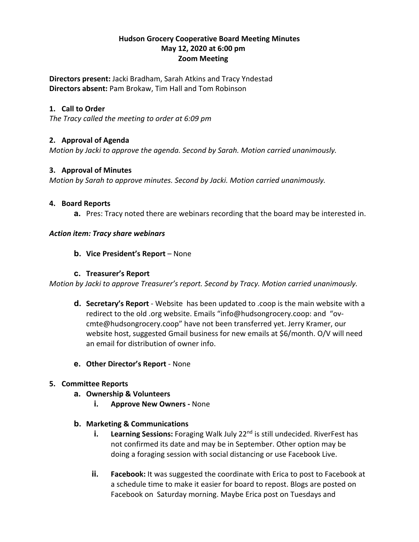## **Hudson Grocery Cooperative Board Meeting Minutes May 12, 2020 at 6:00 pm Zoom Meeting**

**Directors present:** Jacki Bradham, Sarah Atkins and Tracy Yndestad **Directors absent:** Pam Brokaw, Tim Hall and Tom Robinson

# **1. Call to Order**

*The Tracy called the meeting to order at 6:09 pm*

# **2. Approval of Agenda**

*Motion by Jacki to approve the agenda. Second by Sarah. Motion carried unanimously.*

#### **3. Approval of Minutes**

*Motion by Sarah to approve minutes. Second by Jacki. Motion carried unanimously.*

#### **4. Board Reports**

**a.** Pres: Tracy noted there are webinars recording that the board may be interested in.

### *Action item: Tracy share webinars*

#### **b. Vice President's Report** – None

#### **c. Treasurer's Report**

*Motion by Jacki to approve Treasurer's report. Second by Tracy. Motion carried unanimously.*

- **d. Secretary's Report** Website has been updated to .coop is the main website with a redirect to the old .org website. Emails "info@hudsongrocery.coop: and "ovcmte@hudsongrocery.coop" have not been transferred yet. Jerry Kramer, our website host, suggested Gmail business for new emails at \$6/month. O/V will need an email for distribution of owner info.
- **e. Other Director's Report** None

### **5. Committee Reports**

- **a. Ownership & Volunteers** 
	- **i. Approve New Owners -** None

### **b. Marketing & Communications**

- **i.** Learning Sessions: Foraging Walk July 22<sup>nd</sup> is still undecided. RiverFest has not confirmed its date and may be in September. Other option may be doing a foraging session with social distancing or use Facebook Live.
- **ii. Facebook:** It was suggested the coordinate with Erica to post to Facebook at a schedule time to make it easier for board to repost. Blogs are posted on Facebook on Saturday morning. Maybe Erica post on Tuesdays and